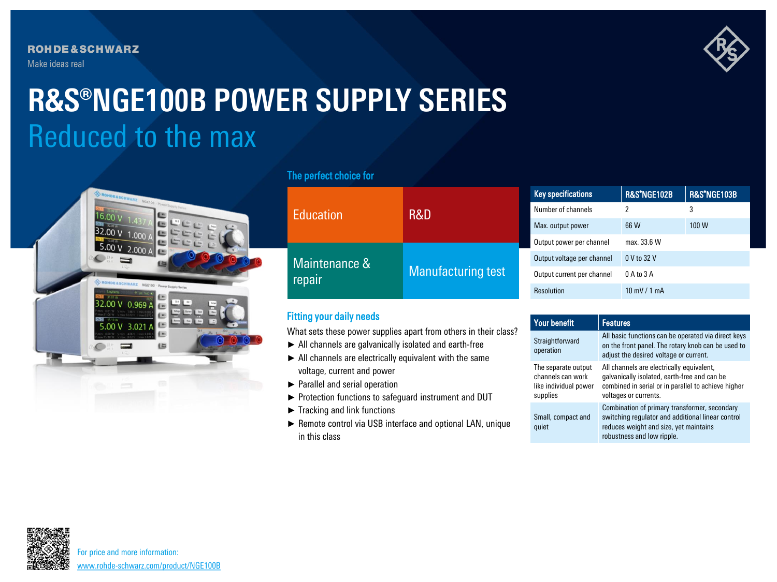**ROHDE&SCHWARZ** Make ideas real



# Reduced to the max **R&S®NGE100B POWER SUPPLY SERIES**



### The perfect choice for

|                         | <b>R&amp;D</b>     | <b>Key specifications</b>  | R&S*NGE102B            | R&S*NGE103B |
|-------------------------|--------------------|----------------------------|------------------------|-------------|
| <b>Education</b>        |                    | Number of channels         | 2                      | 3           |
|                         |                    | Max. output power          | 66 W                   | 100 W       |
| Maintenance &<br>repair | Manufacturing test | Output power per channel   | max. 33.6 W            |             |
|                         |                    | Output voltage per channel | 0 V to 32 V            |             |
|                         |                    | Output current per channel | 0 A to 3 A             |             |
|                         |                    | <b>Resolution</b>          | $10 \text{ mV}$ / 1 mA |             |

## Fitting your daily needs

What sets these power supplies apart from others in their class?

- ► All channels are galvanically isolated and earth-free
- ► All channels are electrically equivalent with the same voltage, current and power
- ► Parallel and serial operation
- ► Protection functions to safeguard instrument and DUT
- ► Tracking and link functions
- ► Remote control via USB interface and optional LAN, unique in this class

| <b>Your benefit</b>                                                           | <b>Features</b>                                                                                                                                                            |
|-------------------------------------------------------------------------------|----------------------------------------------------------------------------------------------------------------------------------------------------------------------------|
| Straightforward<br>operation                                                  | All basic functions can be operated via direct keys<br>on the front panel. The rotary knob can be used to<br>adjust the desired voltage or current.                        |
| The separate output<br>channels can work<br>like individual power<br>supplies | All channels are electrically equivalent,<br>galvanically isolated, earth-free and can be<br>combined in serial or in parallel to achieve higher<br>voltages or currents.  |
| Small, compact and<br>quiet                                                   | Combination of primary transformer, secondary<br>switching regulator and additional linear control<br>reduces weight and size, yet maintains<br>robustness and low ripple. |